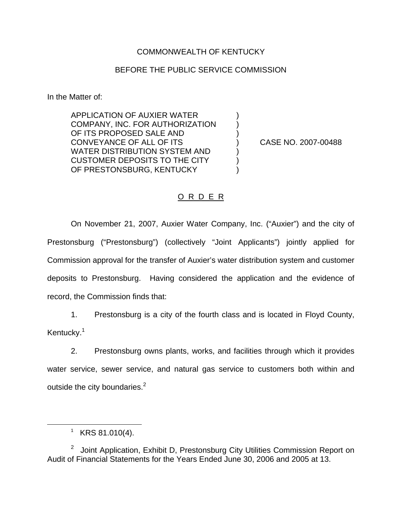## COMMONWEALTH OF KENTUCKY

## BEFORE THE PUBLIC SERVICE COMMISSION

In the Matter of:

APPLICATION OF AUXIER WATER ) COMPANY, INC. FOR AUTHORIZATION OF ITS PROPOSED SALE AND CONVEYANCE OF ALL OF ITS ) CASE NO. 2007-00488 WATER DISTRIBUTION SYSTEM AND ) CUSTOMER DEPOSITS TO THE CITY OF PRESTONSBURG, KENTUCKY

## O R D E R

On November 21, 2007, Auxier Water Company, Inc. ("Auxier") and the city of Prestonsburg ("Prestonsburg") (collectively "Joint Applicants") jointly applied for Commission approval for the transfer of Auxier's water distribution system and customer deposits to Prestonsburg. Having considered the application and the evidence of record, the Commission finds that:

1. Prestonsburg is a city of the fourth class and is located in Floyd County, Kentucky.<sup>1</sup>

2. Prestonsburg owns plants, works, and facilities through which it provides water service, sewer service, and natural gas service to customers both within and outside the city boundaries.<sup>2</sup>

 $1$  KRS 81.010(4).

 $2$  Joint Application, Exhibit D, Prestonsburg City Utilities Commission Report on Audit of Financial Statements for the Years Ended June 30, 2006 and 2005 at 13.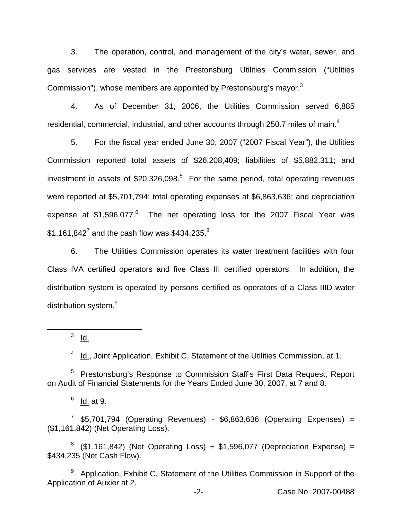3. The operation, control, and management of the city's water, sewer, and gas services are vested in the Prestonsburg Utilities Commission ("Utilities Commission"), whose members are appointed by Prestonsburg's mavor.<sup>3</sup>

4. As of December 31, 2006, the Utilities Commission served 6,885 residential, commercial, industrial, and other accounts through 250.7 miles of main.<sup>4</sup>

5. For the fiscal year ended June 30, 2007 ("2007 Fiscal Year"), the Utilities Commission reported total assets of \$26,208,409; liabilities of \$5,882,311; and investment in assets of  $$20,326,098$ <sup>5</sup> For the same period, total operating revenues were reported at \$5,701,794; total operating expenses at \$6,863,636; and depreciation expense at  $$1,596,077$ .<sup>6</sup> The net operating loss for the 2007 Fiscal Year was \$1,161,842<sup>7</sup> and the cash flow was \$434,235.<sup>8</sup>

6. The Utilities Commission operates its water treatment facilities with four Class IVA certified operators and five Class III certified operators. In addition, the distribution system is operated by persons certified as operators of a Class IIID water distribution system.<sup>9</sup>

 $3$  Id.

<sup>4</sup> Id., Joint Application, Exhibit C, Statement of the Utilities Commission, at 1.

<sup>5</sup> Prestonsburg's Response to Commission Staff's First Data Request, Report on Audit of Financial Statements for the Years Ended June 30, 2007, at 7 and 8.

 $6$  <u>Id.</u> at 9.

 $7$  \$5,701,794 (Operating Revenues) - \$6,863,636 (Operating Expenses) = (\$1,161,842) (Net Operating Loss).

 $8$  (\$1,161,842) (Net Operating Loss) + \$1,596,077 (Depreciation Expense) = \$434,235 (Net Cash Flow).

<sup>9</sup> Application, Exhibit C, Statement of the Utilities Commission in Support of the Application of Auxier at 2.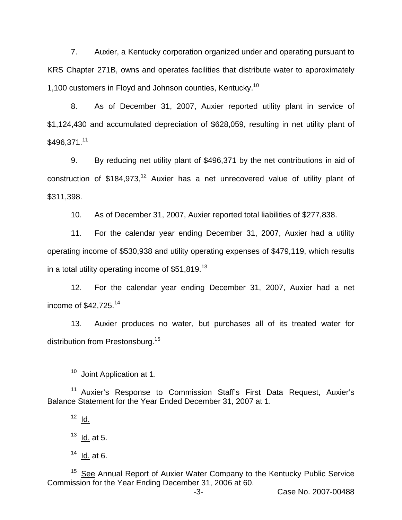7. Auxier, a Kentucky corporation organized under and operating pursuant to KRS Chapter 271B, owns and operates facilities that distribute water to approximately 1,100 customers in Floyd and Johnson counties, Kentucky.<sup>10</sup>

8. As of December 31, 2007, Auxier reported utility plant in service of \$1,124,430 and accumulated depreciation of \$628,059, resulting in net utility plant of \$496,371.<sup>11</sup>

9. By reducing net utility plant of \$496,371 by the net contributions in aid of construction of  $$184.973$ ,<sup>12</sup> Auxier has a net unrecovered value of utility plant of \$311,398.

10. As of December 31, 2007, Auxier reported total liabilities of \$277,838.

11. For the calendar year ending December 31, 2007, Auxier had a utility operating income of \$530,938 and utility operating expenses of \$479,119, which results in a total utility operating income of  $$51,819.<sup>13</sup>$ 

12. For the calendar year ending December 31, 2007, Auxier had a net income of  $$42,725.<sup>14</sup>$ 

13. Auxier produces no water, but purchases all of its treated water for distribution from Prestonsburg.<sup>15</sup>

<sup>11</sup> Auxier's Response to Commission Staff's First Data Request, Auxier's Balance Statement for the Year Ended December 31, 2007 at 1.

<sup>15</sup> See Annual Report of Auxier Water Company to the Kentucky Public Service Commission for the Year Ending December 31, 2006 at 60.

<sup>&</sup>lt;sup>10</sup> Joint Application at 1.

 $12$  Id.

 $13$  <u>Id.</u> at 5.

 $14$  <u>Id.</u> at 6.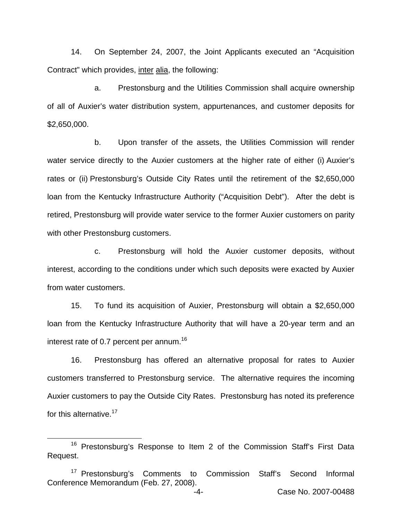14. On September 24, 2007, the Joint Applicants executed an "Acquisition Contract" which provides, inter alia, the following:

a. Prestonsburg and the Utilities Commission shall acquire ownership of all of Auxier's water distribution system, appurtenances, and customer deposits for \$2,650,000.

b. Upon transfer of the assets, the Utilities Commission will render water service directly to the Auxier customers at the higher rate of either (i) Auxier's rates or (ii) Prestonsburg's Outside City Rates until the retirement of the \$2,650,000 loan from the Kentucky Infrastructure Authority ("Acquisition Debt"). After the debt is retired, Prestonsburg will provide water service to the former Auxier customers on parity with other Prestonsburg customers.

c. Prestonsburg will hold the Auxier customer deposits, without interest, according to the conditions under which such deposits were exacted by Auxier from water customers.

15. To fund its acquisition of Auxier, Prestonsburg will obtain a \$2,650,000 loan from the Kentucky Infrastructure Authority that will have a 20-year term and an interest rate of 0.7 percent per annum.<sup>16</sup>

16. Prestonsburg has offered an alternative proposal for rates to Auxier customers transferred to Prestonsburg service. The alternative requires the incoming Auxier customers to pay the Outside City Rates. Prestonsburg has noted its preference for this alternative.<sup>17</sup>

<sup>&</sup>lt;sup>16</sup> Prestonsburg's Response to Item 2 of the Commission Staff's First Data Request.

<sup>&</sup>lt;sup>17</sup> Prestonsburg's Comments to Commission Staff's Second Informal Conference Memorandum (Feb. 27, 2008).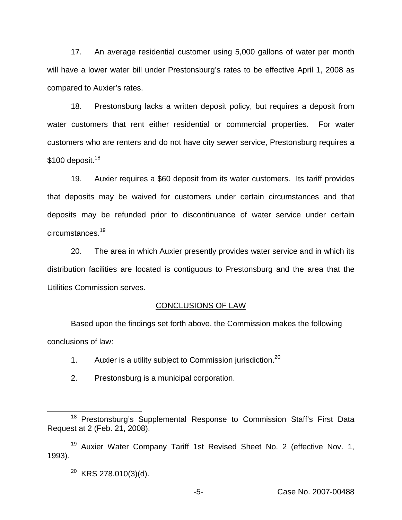17. An average residential customer using 5,000 gallons of water per month will have a lower water bill under Prestonsburg's rates to be effective April 1, 2008 as compared to Auxier's rates.

18. Prestonsburg lacks a written deposit policy, but requires a deposit from water customers that rent either residential or commercial properties. For water customers who are renters and do not have city sewer service, Prestonsburg requires a  $$100$  deposit.<sup>18</sup>

19. Auxier requires a \$60 deposit from its water customers. Its tariff provides that deposits may be waived for customers under certain circumstances and that deposits may be refunded prior to discontinuance of water service under certain circumstances.<sup>19</sup>

20. The area in which Auxier presently provides water service and in which its distribution facilities are located is contiguous to Prestonsburg and the area that the Utilities Commission serves.

## CONCLUSIONS OF LAW

Based upon the findings set forth above, the Commission makes the following conclusions of law:

- 1. Auxier is a utility subject to Commission jurisdiction.<sup>20</sup>
- 2. Prestonsburg is a municipal corporation.

<sup>&</sup>lt;sup>18</sup> Prestonsburg's Supplemental Response to Commission Staff's First Data Request at 2 (Feb. 21, 2008).

<sup>&</sup>lt;sup>19</sup> Auxier Water Company Tariff 1st Revised Sheet No. 2 (effective Nov. 1, 1993).

<sup>20</sup> KRS 278.010(3)(d).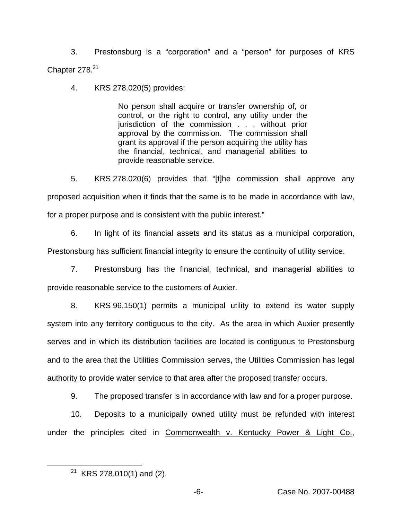3. Prestonsburg is a "corporation" and a "person" for purposes of KRS Chapter  $278.<sup>21</sup>$ 

4. KRS 278.020(5) provides:

No person shall acquire or transfer ownership of, or control, or the right to control, any utility under the jurisdiction of the commission . . . without prior approval by the commission. The commission shall grant its approval if the person acquiring the utility has the financial, technical, and managerial abilities to provide reasonable service.

5. KRS 278.020(6) provides that "[t]he commission shall approve any proposed acquisition when it finds that the same is to be made in accordance with law, for a proper purpose and is consistent with the public interest."

6. In light of its financial assets and its status as a municipal corporation, Prestonsburg has sufficient financial integrity to ensure the continuity of utility service.

7. Prestonsburg has the financial, technical, and managerial abilities to provide reasonable service to the customers of Auxier.

8. KRS 96.150(1) permits a municipal utility to extend its water supply system into any territory contiguous to the city. As the area in which Auxier presently serves and in which its distribution facilities are located is contiguous to Prestonsburg and to the area that the Utilities Commission serves, the Utilities Commission has legal authority to provide water service to that area after the proposed transfer occurs.

9. The proposed transfer is in accordance with law and for a proper purpose.

10. Deposits to a municipally owned utility must be refunded with interest under the principles cited in Commonwealth v. Kentucky Power & Light Co.,

<sup>&</sup>lt;sup>21</sup> KRS 278.010(1) and (2).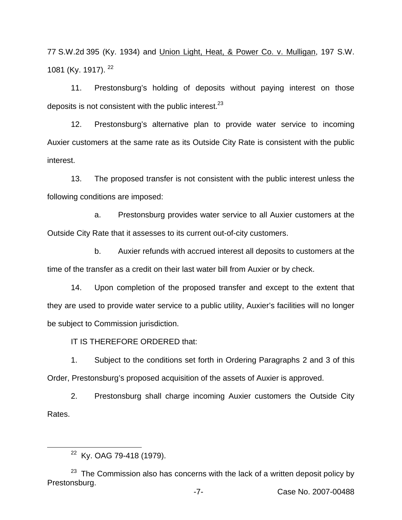77 S.W.2d 395 (Ky. 1934) and Union Light, Heat, & Power Co. v. Mulligan, 197 S.W. 1081 (Ky. 1917). <sup>22</sup>

11. Prestonsburg's holding of deposits without paying interest on those deposits is not consistent with the public interest.  $23$ 

12. Prestonsburg's alternative plan to provide water service to incoming Auxier customers at the same rate as its Outside City Rate is consistent with the public interest.

13. The proposed transfer is not consistent with the public interest unless the following conditions are imposed:

a. Prestonsburg provides water service to all Auxier customers at the Outside City Rate that it assesses to its current out-of-city customers.

b. Auxier refunds with accrued interest all deposits to customers at the time of the transfer as a credit on their last water bill from Auxier or by check.

14. Upon completion of the proposed transfer and except to the extent that they are used to provide water service to a public utility, Auxier's facilities will no longer be subject to Commission jurisdiction.

IT IS THEREFORE ORDERED that:

1. Subject to the conditions set forth in Ordering Paragraphs 2 and 3 of this Order, Prestonsburg's proposed acquisition of the assets of Auxier is approved.

2. Prestonsburg shall charge incoming Auxier customers the Outside City Rates.

<sup>&</sup>lt;sup>22</sup> Ky. OAG 79-418 (1979).

 $23$  The Commission also has concerns with the lack of a written deposit policy by Prestonsburg.